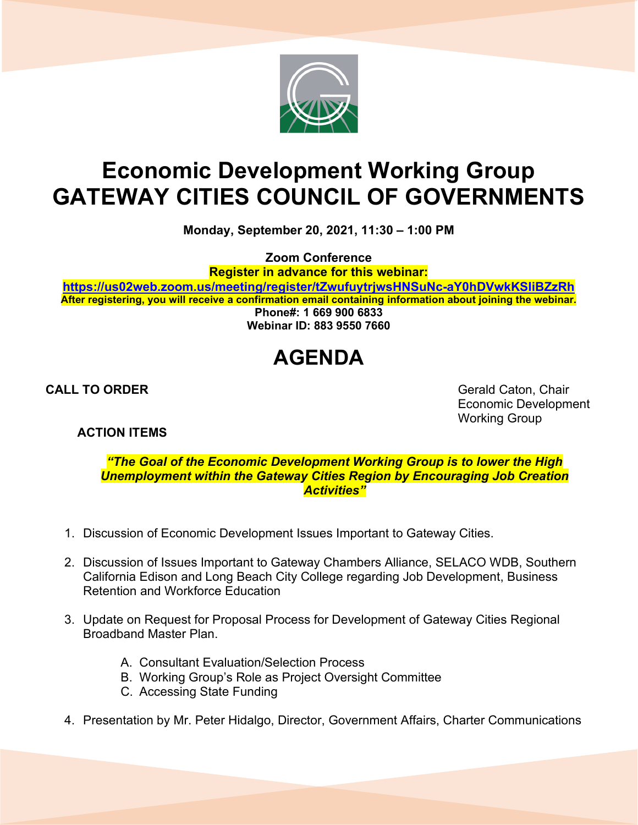

## **Economic Development Working Group GATEWAY CITIES COUNCIL OF GOVERNMENTS**

**Monday, September 20, 2021, 11:30 – 1:00 PM**

**Zoom Conference**

**Register in advance for this webinar:**<br>https://us02web.zoom.us/meeting/register/tZwufuytrjwsHNSuNc-aY0hDVwkKSIiBZzRh **<https://us02web.zoom.us/meeting/register/tZwufuytrjwsHNSuNc-aY0hDVwkKSIiBZzRh>After registering, you will receive a confirmation email containing information about joining the webinar. Phone#: 1 669 900 6833**

**Webinar ID: 883 9550 7660**

## **AGENDA**

**ACTION ITEMS**

**CALL TO ORDER** Gerald Caton, Chair Economic Development Working Group

*"The Goal of the Economic Development Working Group is to lower the High Unemployment within the Gateway Cities Region by Encouraging Job Creation Activities"*

- 1. Discussion of Economic Development Issues Important to Gateway Cities.
- 2. Discussion of Issues Important to Gateway Chambers Alliance, SELACO WDB, Southern California Edison and Long Beach City College regarding Job Development, Business Retention and Workforce Education
- 3. Update on Request for Proposal Process for Development of Gateway Cities Regional Broadband Master Plan.
	- A. Consultant Evaluation/Selection Process
	- B. Working Group's Role as Project Oversight Committee
	- C. Accessing State Funding
- 4. Presentation by Mr. Peter Hidalgo, Director, Government Affairs, Charter Communications